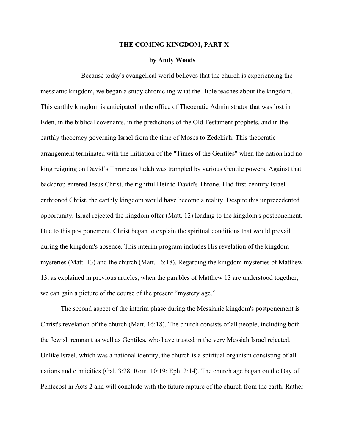## **THE COMING KINGDOM, PART X**

## **by Andy Woods**

Because today's evangelical world believes that the church is experiencing the messianic kingdom, we began a study chronicling what the Bible teaches about the kingdom. This earthly kingdom is anticipated in the office of Theocratic Administrator that was lost in Eden, in the biblical covenants, in the predictions of the Old Testament prophets, and in the earthly theocracy governing Israel from the time of Moses to Zedekiah. This theocratic arrangement terminated with the initiation of the "Times of the Gentiles" when the nation had no king reigning on David's Throne as Judah was trampled by various Gentile powers. Against that backdrop entered Jesus Christ, the rightful Heir to David's Throne. Had first-century Israel enthroned Christ, the earthly kingdom would have become a reality. Despite this unprecedented opportunity, Israel rejected the kingdom offer (Matt. 12) leading to the kingdom's postponement. Due to this postponement, Christ began to explain the spiritual conditions that would prevail during the kingdom's absence. This interim program includes His revelation of the kingdom mysteries (Matt. 13) and the church (Matt. 16:18). Regarding the kingdom mysteries of Matthew 13, as explained in previous articles, when the parables of Matthew 13 are understood together, we can gain a picture of the course of the present "mystery age."

The second aspect of the interim phase during the Messianic kingdom's postponement is Christ's revelation of the church (Matt. 16:18). The church consists of all people, including both the Jewish remnant as well as Gentiles, who have trusted in the very Messiah Israel rejected. Unlike Israel, which was a national identity, the church is a spiritual organism consisting of all nations and ethnicities (Gal. 3:28; Rom. 10:19; Eph. 2:14). The church age began on the Day of Pentecost in Acts 2 and will conclude with the future rapture of the church from the earth. Rather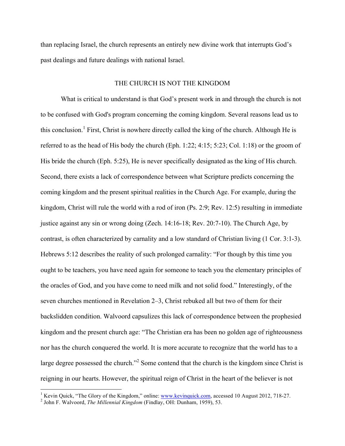than replacing Israel, the church represents an entirely new divine work that interrupts God's past dealings and future dealings with national Israel.

## THE CHURCH IS NOT THE KINGDOM

What is critical to understand is that God's present work in and through the church is not to be confused with God's program concerning the coming kingdom. Several reasons lead us to this conclusion.<sup>1</sup> First, Christ is nowhere directly called the king of the church. Although He is referred to as the head of His body the church (Eph. 1:22; 4:15; 5:23; Col. 1:18) or the groom of His bride the church (Eph. 5:25), He is never specifically designated as the king of His church. Second, there exists a lack of correspondence between what Scripture predicts concerning the coming kingdom and the present spiritual realities in the Church Age. For example, during the kingdom, Christ will rule the world with a rod of iron (Ps. 2:9; Rev. 12:5) resulting in immediate justice against any sin or wrong doing (Zech. 14:16-18; Rev. 20:7-10). The Church Age, by contrast, is often characterized by carnality and a low standard of Christian living (1 Cor. 3:1-3). Hebrews 5:12 describes the reality of such prolonged carnality: "For though by this time you ought to be teachers, you have need again for someone to teach you the elementary principles of the oracles of God, and you have come to need milk and not solid food." Interestingly, of the seven churches mentioned in Revelation 2–3, Christ rebuked all but two of them for their backslidden condition. Walvoord capsulizes this lack of correspondence between the prophesied kingdom and the present church age: "The Christian era has been no golden age of righteousness nor has the church conquered the world. It is more accurate to recognize that the world has to a large degree possessed the church."<sup>2</sup> Some contend that the church is the kingdom since Christ is reigning in our hearts. However, the spiritual reign of Christ in the heart of the believer is not

<sup>&</sup>lt;sup>1</sup> Kevin Quick, "The Glory of the Kingdom," online: www.kevinquick.com, accessed 10 August 2012, 718-27.<br><sup>2</sup> John F. Walvoord, *The Millennial Kingdom* (Findlay, OH: Dunham, 1959), 53.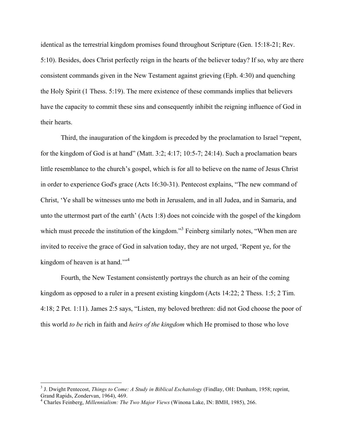identical as the terrestrial kingdom promises found throughout Scripture (Gen. 15:18-21; Rev. 5:10). Besides, does Christ perfectly reign in the hearts of the believer today? If so, why are there consistent commands given in the New Testament against grieving (Eph. 4:30) and quenching the Holy Spirit (1 Thess. 5:19). The mere existence of these commands implies that believers have the capacity to commit these sins and consequently inhibit the reigning influence of God in their hearts.

Third, the inauguration of the kingdom is preceded by the proclamation to Israel "repent, for the kingdom of God is at hand" (Matt. 3:2; 4:17; 10:5-7; 24:14). Such a proclamation bears little resemblance to the church's gospel, which is for all to believe on the name of Jesus Christ in order to experience God's grace (Acts 16:30-31). Pentecost explains, "The new command of Christ, 'Ye shall be witnesses unto me both in Jerusalem, and in all Judea, and in Samaria, and unto the uttermost part of the earth' (Acts 1:8) does not coincide with the gospel of the kingdom which must precede the institution of the kingdom.<sup>3</sup> Feinberg similarly notes, "When men are invited to receive the grace of God in salvation today, they are not urged, 'Repent ye, for the kingdom of heaven is at hand."<sup>4</sup>

Fourth, the New Testament consistently portrays the church as an heir of the coming kingdom as opposed to a ruler in a present existing kingdom (Acts 14:22; 2 Thess. 1:5; 2 Tim. 4:18; 2 Pet. 1:11). James 2:5 says, "Listen, my beloved brethren: did not God choose the poor of this world *to be* rich in faith and *heirs of the kingdom* which He promised to those who love

 <sup>3</sup> J. Dwight Pentecost, *Things to Come: A Study in Biblical Eschatology* (Findlay, OH: Dunham, 1958; reprint, Grand Rapids, Zondervan, 1964), 469.

<sup>4</sup> Charles Feinberg, *Millennialism: The Two Major Views* (Winona Lake, IN: BMH, 1985), 266.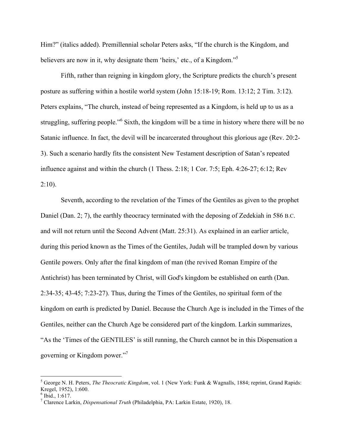Him?" (italics added). Premillennial scholar Peters asks, "If the church is the Kingdom, and believers are now in it, why designate them 'heirs,' etc., of a Kingdom."<sup>5</sup>

Fifth, rather than reigning in kingdom glory, the Scripture predicts the church's present posture as suffering within a hostile world system (John 15:18-19; Rom. 13:12; 2 Tim. 3:12). Peters explains, "The church, instead of being represented as a Kingdom, is held up to us as a struggling, suffering people."<sup>6</sup> Sixth, the kingdom will be a time in history where there will be no Satanic influence. In fact, the devil will be incarcerated throughout this glorious age (Rev. 20:2- 3). Such a scenario hardly fits the consistent New Testament description of Satan's repeated influence against and within the church (1 Thess. 2:18; 1 Cor. 7:5; Eph. 4:26-27; 6:12; Rev  $2:10$ ).

Seventh, according to the revelation of the Times of the Gentiles as given to the prophet Daniel (Dan. 2; 7), the earthly theocracy terminated with the deposing of Zedekiah in 586 B.C. and will not return until the Second Advent (Matt. 25:31). As explained in an earlier article, during this period known as the Times of the Gentiles, Judah will be trampled down by various Gentile powers. Only after the final kingdom of man (the revived Roman Empire of the Antichrist) has been terminated by Christ, will God's kingdom be established on earth (Dan. 2:34-35; 43-45; 7:23-27). Thus, during the Times of the Gentiles, no spiritual form of the kingdom on earth is predicted by Daniel. Because the Church Age is included in the Times of the Gentiles, neither can the Church Age be considered part of the kingdom. Larkin summarizes, "As the 'Times of the GENTILES' is still running, the Church cannot be in this Dispensation a governing or Kingdom power."7

 <sup>5</sup> George N. H. Peters, *The Theocratic Kingdom*, vol. 1 (New York: Funk & Wagnalls, 1884; reprint, Grand Rapids: Kregel, 1952), 1:600.

 $6$  Ibid., 1:617.

<sup>7</sup> Clarence Larkin, *Dispensational Truth* (Philadelphia, PA: Larkin Estate, 1920), 18.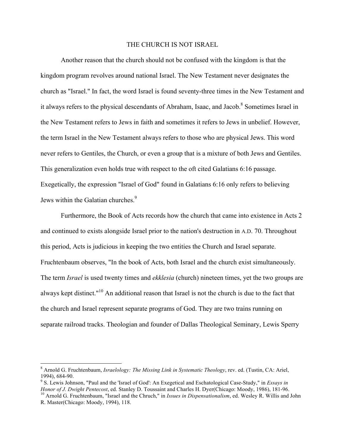## THE CHURCH IS NOT ISRAEL

Another reason that the church should not be confused with the kingdom is that the kingdom program revolves around national Israel. The New Testament never designates the church as "Israel." In fact, the word Israel is found seventy-three times in the New Testament and it always refers to the physical descendants of Abraham, Isaac, and Jacob.<sup>8</sup> Sometimes Israel in the New Testament refers to Jews in faith and sometimes it refers to Jews in unbelief. However, the term Israel in the New Testament always refers to those who are physical Jews. This word never refers to Gentiles, the Church, or even a group that is a mixture of both Jews and Gentiles. This generalization even holds true with respect to the oft cited Galatians 6:16 passage. Exegetically, the expression "Israel of God" found in Galatians 6:16 only refers to believing Jews within the Galatian churches.<sup>9</sup>

Furthermore, the Book of Acts records how the church that came into existence in Acts 2 and continued to exists alongside Israel prior to the nation's destruction in A.D. 70. Throughout this period, Acts is judicious in keeping the two entities the Church and Israel separate. Fruchtenbaum observes, "In the book of Acts, both Israel and the church exist simultaneously. The term *Israel* is used twenty times and *ekklesia* (church) nineteen times, yet the two groups are always kept distinct."<sup>10</sup> An additional reason that Israel is not the church is due to the fact that the church and Israel represent separate programs of God. They are two trains running on separate railroad tracks. Theologian and founder of Dallas Theological Seminary, Lewis Sperry

 <sup>8</sup> Arnold G. Fruchtenbaum, *Israelology: The Missing Link in Systematic Theology*, rev. ed. (Tustin, CA: Ariel,

<sup>1994), 684-90.&</sup>lt;br><sup>9</sup> S. Lewis Johnson, "Paul and the 'Israel of God': An Exegetical and Eschatological Case-Study," in *Essays in*<br>*Honor of J. Dwight Pentecost*, ed. Stanley D. Toussaint and Charles H. Dyer(Chicago: Moody,

<sup>&</sup>lt;sup>10</sup> Arnold G. Fruchtenbaum, "Israel and the Chruch," in *Issues in Dispensationalism*, ed. Wesley R. Willis and John R. Master(Chicago: Moody, 1994), 118.